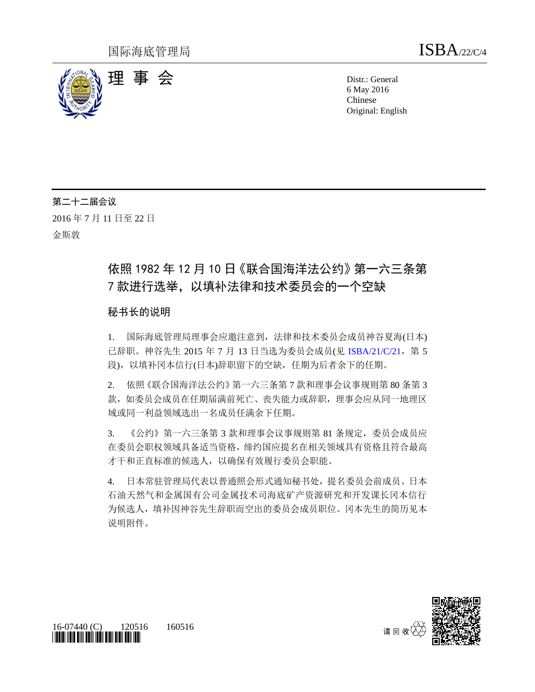

6 May 2016 Chinese Original: English

## 第二十二届会议

2016 年 7 月 11 日至 22 日

金斯敦

# 依照 1982 年 12 月 10 日《联合国海洋法公约》第一六三条第 7 款进行选举,以填补法律和技术委员会的一个空缺

## 秘书长的说明

1. 国际海底管理局理事会应邀注意到,法律和技术委员会成员神谷夏海(日本) 已辞职。神谷先生 2015 年 7 月 13 日当选为委员会成员(见 [ISBA/21/C/21](http://undocs.org/ch/ISBA/21/C/21), 第 5 段),以填补冈本信行(日本)辞职留下的空缺,任期为后者余下的任期。

2. 依照《联合国海洋法公约》第一六三条第 7 款和理事会议事规则第 80 条第 3 款,如委员会成员在任期届满前死亡、丧失能力或辞职,理事会应从同一地理区 域或同一利益领域选出一名成员任满余下任期。

3. 《公约》第一六三条第 3 款和理事会议事规则第 81 条规定, 委员会成员应 在委员会职权领域具备适当资格,缔约国应提名在相关领域具有资格且符合最高 才干和正直标准的候选人,以确保有效履行委员会职能。

4. 日本常驻管理局代表以普通照会形式通知秘书处,提名委员会前成员、日本 石油天然气和金属国有公司金属技术司海底矿产资源研究和开发课长冈本信行 为候选人,填补因神谷先生辞职而空出的委员会成员职位。冈本先生的简历见本 说明附件。



16-07440 (C) 120516 160516 *\*1607440\**

请回收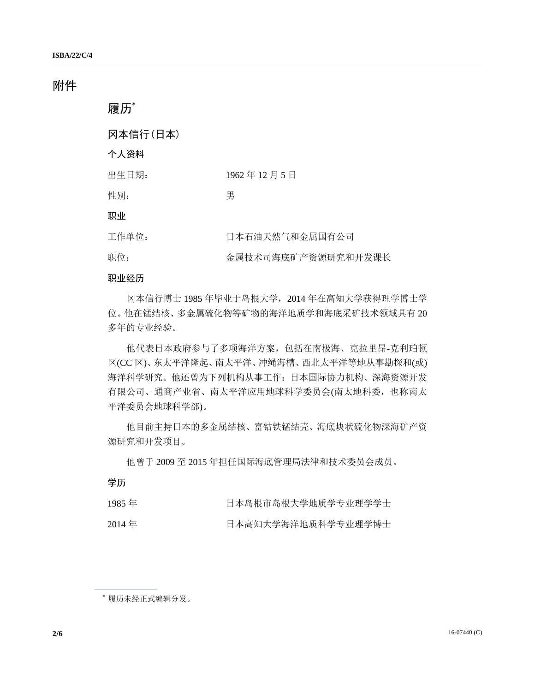# 附件

| 履历*      |                    |
|----------|--------------------|
| 冈本信行(日本) |                    |
| 个人资料     |                    |
| 出生日期:    | 1962年12月5日         |
| 性别:      | 男                  |
| 职业       |                    |
| 工作单位:    | 日本石油天然气和金属国有公司     |
| 职位:      | 金属技术司海底矿产资源研究和开发课长 |

### 职业经历

冈本信行博士 1985 年毕业于岛根大学,2014 年在高知大学获得理学博士学 位。他在锰结核、多金属硫化物等矿物的海洋地质学和海底采矿技术领域具有 20 多年的专业经验。

他代表日本政府参与了多项海洋方案,包括在南极海、克拉里昂-克利珀顿 区(CC 区)、东太平洋隆起、南太平洋、冲绳海槽、西北太平洋等地从事勘探和(或) 海洋科学研究。他还曾为下列机构从事工作:日本国际协力机构、深海资源开发 有限公司、通商产业省、南太平洋应用地球科学委员会(南太地科委,也称南太 平洋委员会地球科学部)。

他目前主持日本的多金属结核、富钴铁锰结壳、海底块状硫化物深海矿产资 源研究和开发项目。

他曾于 2009 至 2015 年担任国际海底管理局法律和技术委员会成员。

学历

| 1985年 | 日本岛根市岛根大学地质学专业理学学士 |
|-------|--------------------|
|       |                    |

2014年 - 日本高知大学海洋地质科学专业理学博士

\* 履历未经正式编辑分发。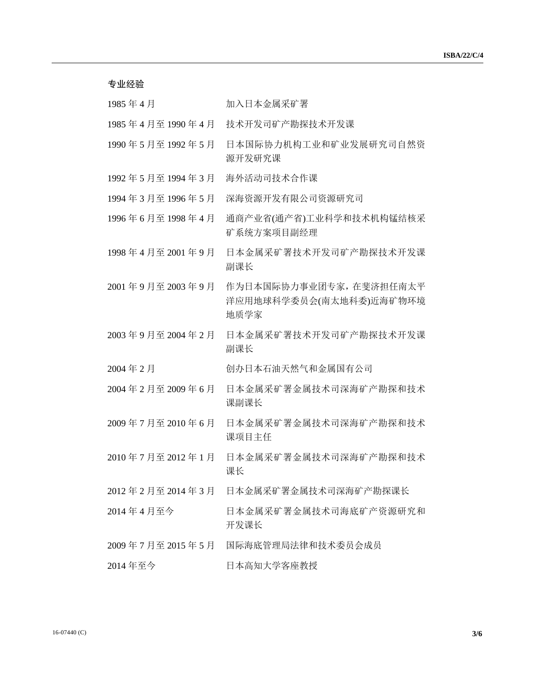| 专业经验            |                                                            |
|-----------------|------------------------------------------------------------|
| 1985年4月         | 加入日本金属采矿署                                                  |
| 1985年4月至1990年4月 | 技术开发司矿产勘探技术开发课                                             |
| 1990年5月至1992年5月 | 日本国际协力机构工业和矿业发展研究司自然资<br>源开发研究课                            |
| 1992年5月至1994年3月 | 海外活动司技术合作课                                                 |
| 1994年3月至1996年5月 | 深海资源开发有限公司资源研究司                                            |
| 1996年6月至1998年4月 | 通商产业省(通产省)工业科学和技术机构锰结核采<br>矿系统方案项目副经理                      |
| 1998年4月至2001年9月 | 日本金属采矿署技术开发司矿产勘探技术开发课<br>副课长                               |
| 2001年9月至2003年9月 | 作为日本国际协力事业团专家, 在斐济担任南太平<br>洋应用地球科学委员会(南太地科委)近海矿物环境<br>地质学家 |
| 2003年9月至2004年2月 | 日本金属采矿署技术开发司矿产勘探技术开发课<br>副课长                               |
| 2004年2月         | 创办日本石油天然气和金属国有公司                                           |
| 2004年2月至2009年6月 | 日本金属采矿署金属技术司深海矿产勘探和技术<br>课副课长                              |
| 2009年7月至2010年6月 | 日本金属采矿署金属技术司深海矿产勘探和技术<br>课项目主任                             |
| 2010年7月至2012年1月 | 日本金属采矿署金属技术司深海矿产勘探和技术<br>课长                                |
| 2012年2月至2014年3月 | 日本金属采矿署金属技术司深海矿产勘探课长                                       |
| 2014年4月至今       | 日本金属采矿署金属技术司海底矿产资源研究和<br>开发课长                              |
| 2009年7月至2015年5月 | 国际海底管理局法律和技术委员会成员                                          |
| 2014年至今         | 日本高知大学客座教授                                                 |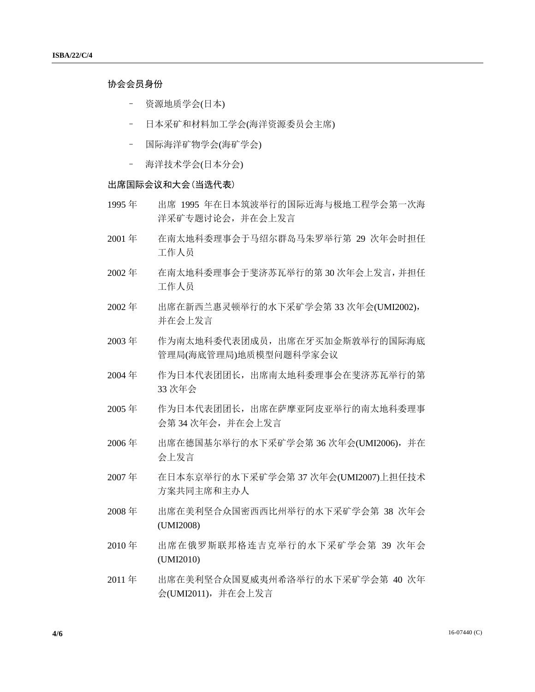## 协会会员身份

- 资源地质学会(日本)
- 日本采矿和材料加工学会(海洋资源委员会主席)
- 国际海洋矿物学会(海矿学会)
- 海洋技术学会(日本分会)

### 出席国际会议和大会(当选代表)

- 1995 年 出席 1995 年在日本筑波举行的国际近海与极地工程学会第一次海 洋采矿专题讨论会,并在会上发言
- 2001 年 在南太地科委理事会于马绍尔群岛马朱罗举行第 29 次年会时担任 工作人员
- 2002 年 在南太地科委理事会于斐济苏瓦举行的第 30 次年会上发言,并担任 工作人员
- 2002 年 出席在新西兰惠灵顿举行的水下采矿学会第 33 次年会(UMI2002), 并在会上发言
- 2003 年 作为南太地科委代表团成员,出席在牙买加金斯敦举行的国际海底 管理局(海底管理局)地质模型问题科学家会议
- 2004 年 作为日本代表团团长,出席南太地科委理事会在斐济苏瓦举行的第 33 次年会
- 2005 年 作为日本代表团团长,出席在萨摩亚阿皮亚举行的南太地科委理事 会第 34 次年会,并在会上发言
- 2006 年 出席在德国基尔举行的水下采矿学会第 36 次年会(UMI2006),并在 会上发言
- 2007 年 在日本东京举行的水下采矿学会第 37 次年会(UMI2007)上担任技术 方案共同主席和主办人
- 2008 年 出席在美利坚合众国密西西比州举行的水下采矿学会第 38 次年会 (UMI2008)
- 2010 年 出席在俄罗斯联邦格连吉克举行的水下采矿学会第 39 次年会 (UMI2010)
- 2011 年 出席在美利坚合众国夏威夷州希洛举行的水下采矿学会第 40 次年 会(UMI2011),并在会上发言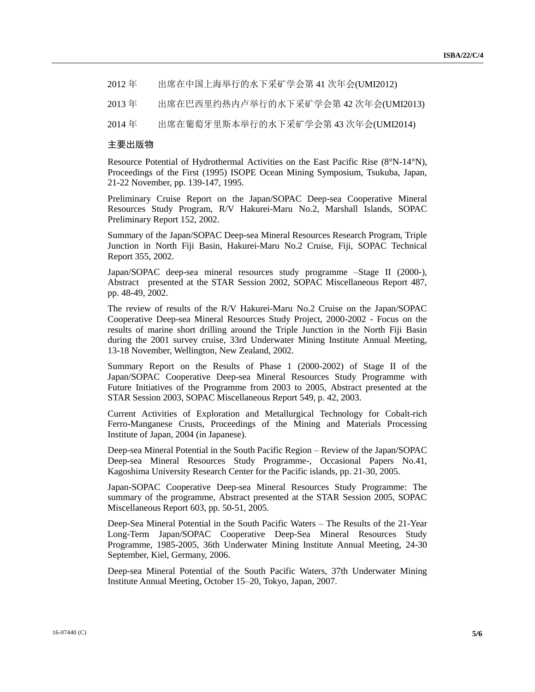2012 年 出席在中国上海举行的水下采矿学会第 41 次年会(UMI2012)

2013 年 出席在巴西里约热内卢举行的水下采矿学会第 42 次年会(UMI2013)

2014 年 出席在葡萄牙里斯本举行的水下采矿学会第 43 次年会(UMI2014)

### 主要出版物

Resource Potential of Hydrothermal Activities on the East Pacific Rise (8°N-14°N), Proceedings of the First (1995) ISOPE Ocean Mining Symposium, Tsukuba, Japan, 21-22 November, pp. 139-147, 1995.

Preliminary Cruise Report on the Japan/SOPAC Deep-sea Cooperative Mineral Resources Study Program, R/V Hakurei-Maru No.2, Marshall Islands, SOPAC Preliminary Report 152, 2002.

Summary of the Japan/SOPAC Deep-sea Mineral Resources Research Program, Triple Junction in North Fiji Basin, Hakurei-Maru No.2 Cruise, Fiji, SOPAC Technical Report 355, 2002.

Japan/SOPAC deep-sea mineral resources study programme –Stage II (2000-), Abstract presented at the STAR Session 2002, SOPAC Miscellaneous Report 487, pp. 48-49, 2002.

The review of results of the R/V Hakurei-Maru No.2 Cruise on the Japan/SOPAC Cooperative Deep-sea Mineral Resources Study Project, 2000-2002 - Focus on the results of marine short drilling around the Triple Junction in the North Fiji Basin during the 2001 survey cruise, 33rd Underwater Mining Institute Annual Meeting, 13-18 November, Wellington, New Zealand, 2002.

Summary Report on the Results of Phase 1 (2000-2002) of Stage II of the Japan/SOPAC Cooperative Deep-sea Mineral Resources Study Programme with Future Initiatives of the Programme from 2003 to 2005, Abstract presented at the STAR Session 2003, SOPAC Miscellaneous Report 549, p. 42, 2003.

Current Activities of Exploration and Metallurgical Technology for Cobalt-rich Ferro-Manganese Crusts, Proceedings of the Mining and Materials Processing Institute of Japan, 2004 (in Japanese).

Deep-sea Mineral Potential in the South Pacific Region – Review of the Japan/SOPAC Deep-sea Mineral Resources Study Programme-, Occasional Papers No.41, Kagoshima University Research Center for the Pacific islands, pp. 21-30, 2005.

Japan-SOPAC Cooperative Deep-sea Mineral Resources Study Programme: The summary of the programme, Abstract presented at the STAR Session 2005, SOPAC Miscellaneous Report 603, pp. 50-51, 2005.

Deep-Sea Mineral Potential in the South Pacific Waters – The Results of the 21-Year Long-Term Japan/SOPAC Cooperative Deep-Sea Mineral Resources Study Programme, 1985-2005, 36th Underwater Mining Institute Annual Meeting, 24-30 September, Kiel, Germany, 2006.

Deep-sea Mineral Potential of the South Pacific Waters, 37th Underwater Mining Institute Annual Meeting, October 15–20, Tokyo, Japan, 2007.